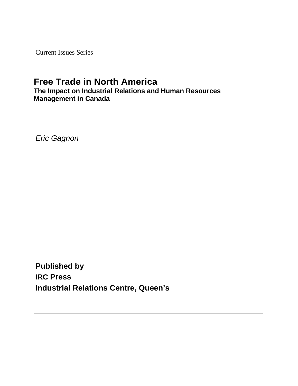Current Issues Series

# **Free Trade in North America**

**The Impact on Industrial Relations and Human Resources Management in Canada**

*Eric Gagnon*

**Published by IRC Press Industrial Relations Centre, Queen's**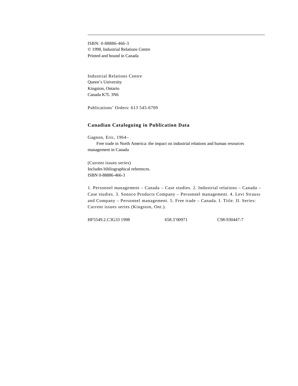ISBN: 0-88886-466-3 © 1998, Industrial Relations Centre Printed and bound in Canada

Industrial Relations Centre Queen's University Kingston, Ontario Canada K7L 3N6

Publications' Orders: 613 545-6709

# **Canadian Cataloguing in Publication Data**

Gagnon, Eric, 1964– Free trade in North America: the impact on industrial relations and human resources management in Canada

(Current issues series) Includes bibliographical references. ISBN 0-88886-466-3

1. Personnel management – Canada – Case studies. 2. Industrial relations – Canada – Case studies. 3. Sonoco Products Company – Personnel management. 4. Levi Strauss and Company – Personnel management. 5. Free trade – Canada. I. Title. II. Series: Current issues series (Kingston, Ont.).

HF5549.2.C3G33 1998 658.3'00971 C98-930447-7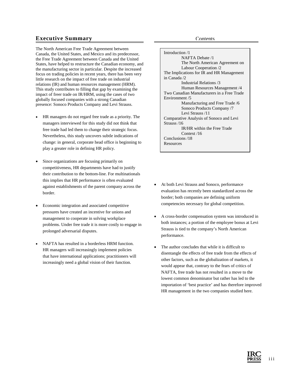# **Executive Summary**

The North American Free Trade Agreement between Canada, the United States, and Mexico and its predecessor, the Free Trade Agreement between Canada and the United States, have helped to restructure the Canadian economy, and the manufacturing sector in particular. Despite the increased focus on trading policies in recent years, there has been very little research on the impact of free trade on industrial relations (IR) and human resources management (HRM). This study contributes to filling that gap by examining the impact of freer trade on IR/HRM, using the cases of two globally focused companies with a strong Canadian presence: Sonoco Products Company and Levi Strauss.

- HR managers do not regard free trade as a priority. The managers interviewed for this study did not think that free trade had led them to change their strategic focus. Nevertheless, this study uncovers subtle indications of change: in general, corporate head office is beginning to play a greater role in defining HR policy.
- Since organizations are focusing primarily on competitiveness, HR departments have had to justify their contribution to the bottom-line. For multinationals this implies that HR performance is often evaluated against establishments of the parent company across the border.
- Economic integration and associated competitive pressures have created an incentive for unions and management to cooperate in solving workplace problems. Under free trade it is more costly to engage in prolonged adversarial disputes.
- NAFTA has resulted in a borderless HRM function. HR managers will increasingly implement policies that have international applications; practitioners will increasingly need a global vision of their function.

Introduction /1 NAFTA Debate /1 The North American Agreement on Labour Cooperation /2 The Implications for IR and HR Management in Canada /2 Industrial Relations /3 Human Resources Management /4 Two Canadian Manufacturers in a Free Trade Environment /5 Manufacturing and Free Trade /6 Sonoco Products Company /7 Levi Strauss /11 Comparative Analysis of Sonoco and Levi Strauss /16 IR/HR within the Free Trade Context /16 Conclusions /18 **Resources** 

- At both Levi Strauss and Sonoco, performance evaluation has recently been standardized across the border; both companies are defining uniform competencies necessary for global competition.
- A cross-border compensation system was introduced in both instances; a portion of the employee bonus at Levi Strauss is tied to the company's North American performance.
- The author concludes that while it is difficult to disentangle the effects of free trade from the effects of other factors, such as the globalization of markets, it would appear that, contrary to the fears of critics of NAFTA, free trade has not resulted in a move to the lowest common denominator but rather has led to the importation of 'best practice' and has therefore improved HR management in the two companies studied here.

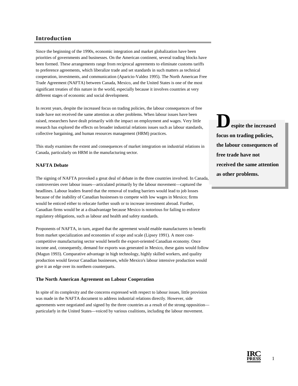# **Introduction**

Since the beginning of the 1990s, economic integration and market globalization have been priorities of governments and businesses. On the American continent, several trading blocks have been formed. These arrangements range from reciprocal agreements to eliminate customs tariffs to preference agreements, which liberalize trade and set standards in such matters as technical cooperation, investments, and communication (Aparicio-Valdez 1995). The North American Free Trade Agreement (NAFTA) between Canada, Mexico, and the United States is one of the most significant treaties of this nature in the world, especially because it involves countries at very different stages of economic and social development.

In recent years, despite the increased focus on trading policies, the labour consequences of free trade have not received the same attention as other problems. When labour issues have been raised, researchers have dealt primarily with the impact on employment and wages. Very little research has explored the effects on broader industrial relations issues such as labour standards, collective bargaining, and human resources management (HRM) practices.

This study examines the extent and consequences of market integration on industrial relations in Canada, particularly on HRM in the manufacturing sector.

## **NAFTA Debate**

The signing of NAFTA provoked a great deal of debate in the three countries involved. In Canada, controversies over labour issues—articulated primarily by the labour movement—captured the headlines. Labour leaders feared that the removal of trading barriers would lead to job losses because of the inability of Canadian businesses to compete with low wages in Mexico; firms would be enticed either to relocate further south or to increase investment abroad. Further, Canadian firms would be at a disadvantage because Mexico is notorious for failing to enforce regulatory obligations, such as labour and health and safety standards.

Proponents of NAFTA, in turn, argued that the agreement would enable manufacturers to benefit from market specialization and economies of scope and scale (Lipsey 1991). A more costcompetitive manufacturing sector would benefit the export-oriented Canadian economy. Once income and, consequently, demand for exports was generated in Mexico, these gains would follow (Magun 1993). Comparative advantage in high technology, highly skilled workers, and quality production would favour Canadian businesses, while Mexico's labour intensive production would give it an edge over its northern counterparts.

#### **The North American Agreement on Labour Cooperation**

In spite of its complexity and the concerns expressed with respect to labour issues, little provision was made in the NAFTA document to address industrial relations directly. However, side agreements were negotiated and signed by the three countries as a result of the strong opposition particularly in the United States—voiced by various coalitions, including the labour movement.

**Despite the increased focus on trading policies, the labour consequences of free trade have not received the same attention as other problems.**



1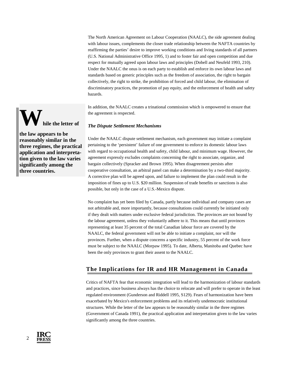The North American Agreement on Labour Cooperation (NAALC), the side agreement dealing with labour issues, complements the closer trade relationship between the NAFTA countries by reaffirming the parties' desire to improve working conditions and living standards of all partners (U.S. National Administrative Office 1995, 1) and to foster fair and open competition and due respect for mutually agreed upon labour laws and principles (Dobell and Neufeld 1993, 210). Under the NAALC the onus is on each party to establish and enforce its own labour laws and standards based on generic principles such as the freedom of association, the right to bargain collectively, the right to strike, the prohibition of forced and child labour, the elimination of discriminatory practices, the promotion of pay equity, and the enforcement of health and safety hazards.

In addition, the NAALC creates a trinational commission which is empowered to ensure that the agreement is respected.

# *The Dispute Settlement Mechanisms*

Under the NAALC dispute settlement mechanism, each government may initiate a complaint pertaining to the 'persistent' failure of one government to enforce its domestic labour laws with regard to occupational health and safety, child labour, and minimum wage. However, the agreement expressly excludes complaints concerning the right to associate, organize, and bargain collectively (Spracker and Brown 1995). When disagreement persists after cooperative consultation, an arbitral panel can make a determination by a two-third majority. A corrective plan will be agreed upon, and failure to implement the plan could result in the imposition of fines up to U.S. \$20 million. Suspension of trade benefits or sanctions is also possible, but only in the case of a U.S.-Mexico dispute.

No complaint has yet been filed by Canada, partly because individual and company cases are not arbitrable and, more importantly, because consultations could currently be initiated only if they dealt with matters under exclusive federal jurisdiction. The provinces are not bound by the labour agreement, unless they voluntarily adhere to it. This means that until provinces representing at least 35 percent of the total Canadian labour force are covered by the NAALC, the federal government will not be able to initiate a complaint, nor will the provinces. Further, when a dispute concerns a specific industry, 55 percent of the work force must be subject to the NAALC (Morpaw 1995). To date, Alberta, Manitoba and Quebec have been the only provinces to grant their assent to the NAALC.

# **The Implications for IR and HR Management in Canada**

Critics of NAFTA fear that economic integration will lead to the harmonization of labour standards and practices, since business always has the choice to relocate and will prefer to operate in the least regulated environment (Gunderson and Riddell 1995, S129). Fears of harmonization have been exacerbated by Mexico's enforcement problems and its relatively undemocratic institutional structures. While the letter of the law appears to be reasonably similar in the three regimes (Government of Canada 1991), the practical application and interpretation given to the law varies significantly among the three countries.



**the law appears to be reasonably similar in the three regimes, the practical application and interpretation given to the law varies significantly among the three countries.**

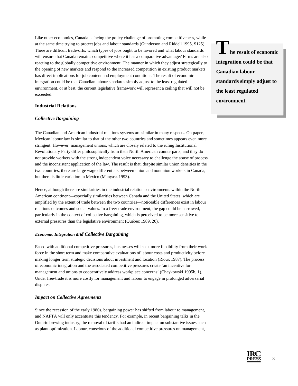Like other economies, Canada is facing the policy challenge of promoting competitiveness, while at the same time trying to protect jobs and labour standards (Gunderson and Riddell 1995, S125). There are difficult trade-offs: which types of jobs ought to be favored and what labour standards will ensure that Canada remains competitive where it has a comparative advantage? Firms are also reacting to the globally competitive environment. The manner in which they adjust strategically to the opening of new markets and respond to the increased competition in existing product markets has direct implications for job content and employment conditions. The result of economic integration could be that Canadian labour standards simply adjust to the least regulated environment, or at best, the current legislative framework will represent a ceiling that will not be exceeded.

## **Industrial Relations**

## *Collective Bargaining*

The Canadian and American industrial relations systems are similar in many respects. On paper, Mexican labour law is similar to that of the other two countries and sometimes appears even more stringent. However, management unions, which are closely related to the ruling Institutional Revolutionary Party differ philosophically from their North American counterparts, and they do not provide workers with the strong independent voice necessary to challenge the abuse of process and the inconsistent application of the law. The result is that, despite similar union densities in the two countries, there are large wage differentials between union and nonunion workers in Canada, but there is little variation in Mexico (Manyasz 1993).

Hence, although there are similarities in the industrial relations environments within the North American continent—especially similarities between Canada and the United States, which are amplified by the extent of trade between the two countries—noticeable differences exist in labour relations outcomes and social values. In a freer trade environment, the gap could be narrowed, particularly in the context of collective bargaining, which is perceived to be more sensitive to external pressures than the legislative environment (Québec 1989, 20).

## *Economic Integration and Collective Bargaining*

Faced with additional competitive pressures, businesses will seek more flexibility from their work force in the short term and make comparative evaluations of labour costs and productivity before making longer term strategic decisions about investment and location (Rioux 1987). The process of economic integration and the associated competitive pressures create 'an incentive for management and unions to cooperatively address workplace concerns' (Chaykowski 1995b, 1). Under free-trade it is more costly for management and labour to engage in prolonged adversarial disputes.

#### *Impact on Collective Agreements*

Since the recession of the early 1980s, bargaining power has shifted from labour to management, and NAFTA will only accentuate this tendency. For example, in recent bargaining talks in the Ontario brewing industry, the removal of tariffs had an indirect impact on substantive issues such as plant optimization. Labour, conscious of the additional competitive pressures on management,

**The result of economic integration could be that Canadian labour standards simply adjust to the least regulated environment.**

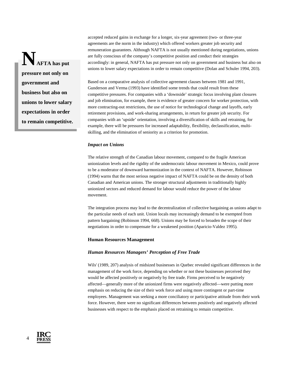**NAFTA has put pressure not only on government and business but also on unions to lower salary expectations in order to remain competitive.** accepted reduced gains in exchange for a longer, six-year agreement (two- or three-year agreements are the norm in the industry) which offered workers greater job security and remuneration guarantees. Although NAFTA is not usually mentioned during negotiations, unions are fully conscious of the company's competitive position and conduct their strategies accordingly: in general, NAFTA has put pressure not only on government and business but also on unions to lower salary expectations in order to remain competitive (Dolan and Schuler 1994, 203).

Based on a comparative analysis of collective agreement clauses between 1981 and 1991, Gunderson and Verma (1993) have identified some trends that could result from these competitive pressures. For companies with a 'downside' strategic focus involving plant closures and job elimination, for example, there is evidence of greater concern for worker protection, with more contracting-out restrictions, the use of notice for technological change and layoffs, early retirement provisions, and work-sharing arrangements, in return for greater job security. For companies with an 'upside' orientation, involving a diversification of skills and retraining, for example, there will be pressures for increased adaptability, flexibility, declassification, multiskilling, and the elimination of seniority as a criterion for promotion.

#### *Impact on Unions*

The relative strength of the Canadian labour movement, compared to the fragile American unionization levels and the rigidity of the undemocratic labour movement in Mexico, could prove to be a moderator of downward harmonization in the context of NAFTA. However, Robinson (1994) warns that the most serious negative impact of NAFTA could be on the density of both Canadian and American unions. The stronger structural adjustments in traditionally highly unionized sectors and reduced demand for labour would reduce the power of the labour movement.

The integration process may lead to the decentralization of collective bargaining as unions adapt to the particular needs of each unit. Union locals may increasingly demand to be exempted from pattern bargaining (Robinson 1994, 668). Unions may be forced to broaden the scope of their negotiations in order to compensate for a weakened position (Aparicio-Valdez 1995).

#### **Human Resources Management**

#### *Human Resources Managers' Perception of Free Trade*

Wils' (1989, 207) analysis of midsized businesses in Quebec revealed significant differences in the management of the work force, depending on whether or not these businesses perceived they would be affected positively or negatively by free trade. Firms perceived to be negatively affected—generally more of the unionized firms were negatively affected—were putting more emphasis on reducing the size of their work force and using more contingent or part-time employees. Management was seeking a more conciliatory or participative attitude from their work force. However, there were no significant differences between positively and negatively affected businesses with respect to the emphasis placed on retraining to remain competitive.

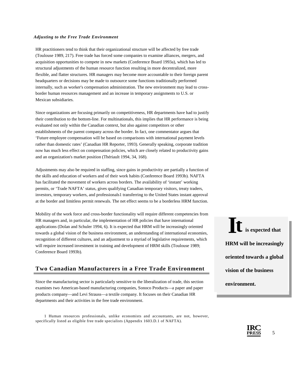#### *Adjusting to the Free Trade Environment*

HR practitioners tend to think that their organizational structure will be affected by free trade (Toulouse 1989, 217). Free trade has forced some companies to examine alliances, mergers, and acquisition opportunities to compete in new markets (Conference Board 1993a), which has led to structural adjustments of the human resource function resulting in more decentralized, more flexible, and flatter structures. HR managers may become more accountable to their foreign parent headquarters or decisions may be made to outsource some functions traditionally performed internally, such as worker's compensation administration. The new environment may lead to crossborder human resources management and an increase in temporary assignments to U.S. or Mexican subsidiaries.

Since organizations are focusing primarily on competitiveness, HR departments have had to justify their contribution to the bottom-line. For multinationals, this implies that HR performance is being evaluated not only within the Canadian context, but also against competitors or other establishments of the parent company across the border. In fact, one commentator argues that 'Future employee compensation will be based on comparisons with international payment levels rather than domestic rates' (Canadian HR Reporter, 1993). Generally speaking, corporate tradition now has much less effect on compensation policies, which are closely related to productivity gains and an organization's market position (Thériault 1994, 34, 168).

Adjustments may also be required in staffing, since gains in productivity are partially a function of the skills and education of workers and of their work habits (Conference Board 1993b). NAFTA has facilitated the movement of workers across borders. The availability of 'instant' working permits, or 'Trade NAFTA' status, gives qualifying Canadian temporary visitors, treaty traders, investors, temporary workers, and professionals1 transferring to the United States instant approval at the border and limitless permit renewals. The net effect seems to be a borderless HRM function.

Mobility of the work force and cross-border functionality will require different competencies from HR managers and, in particular, the implementation of HR policies that have international applications (Dolan and Schuler 1994, 6). It is expected that HRM will be increasingly oriented towards a global vision of the business environment, an understanding of international economies, recognition of different cultures, and an adjustment to a myriad of legislative requirements, which will require increased investment in training and development of HRM skills (Toulouse 1989; Conference Board 1993b).

# **Two Canadian Manufacturers in a Free Trade Environment**

Since the manufacturing sector is particularly sensitive to the liberalization of trade, this section examines two American-based manufacturing companies, Sonoco Products—a paper and paper products company—and Levi Strauss—a textile company. It focuses on their Canadian HR departments and their activities in the free trade environment.

1 Human resources professionals, unlike economists and accountants, are not, however, specifically listed as eligible free trade specialists (Appendix 1603.D.1 of NAFTA).

It is expected that **HRM will be increasingly oriented towards a global vision of the business environment.**



5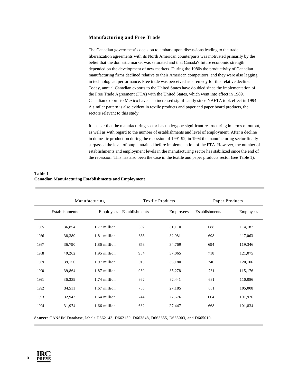## **Manufacturing and Free Trade**

The Canadian government's decision to embark upon discussions leading to the trade liberalization agreements with its North American counterparts was motivated primarily by the belief that the domestic market was saturated and that Canada's future economic strength depended on the development of new markets. During the 1980s the productivity of Canadian manufacturing firms declined relative to their American competitors, and they were also lagging in technological performance. Free trade was perceived as a remedy for this relative decline. Today, annual Canadian exports to the United States have doubled since the implementation of the Free Trade Agreement (FTA) with the United States, which went into effect in 1989. Canadian exports to Mexico have also increased significantly since NAFTA took effect in 1994. A similar pattern is also evident in textile products and paper and paper board products, the sectors relevant to this study.

It is clear that the manufacturing sector has undergone significant restructuring in terms of output, as well as with regard to the number of establishments and level of employment. After a decline in domestic production during the recession of 1991 92, in 1994 the manufacturing sector finally surpassed the level of output attained before implementation of the FTA. However, the number of establishments and employment levels in the manufacturing sector has stabilized since the end of the recession. This has also been the case in the textile and paper products sector (see Table 1).

| Table 1                                                     |  |
|-------------------------------------------------------------|--|
| <b>Canadian Manufacturing Establishments and Employment</b> |  |

|      | Manufacturing  |              | <b>Textile Products</b> |           | Paper Products |           |
|------|----------------|--------------|-------------------------|-----------|----------------|-----------|
|      | Establishments | Employees    | Establishments          | Employees | Establishments | Employees |
| 1985 | 36,854         | 1.77 million | 802                     | 31,110    | 688            | 114,187   |
| 1986 | 38,380         | 1.81 million | 866                     | 32,981    | 698            | 117,063   |
| 1987 | 36,790         | 1.86 million | 858                     | 34,769    | 694            | 119,346   |
| 1988 | 40,262         | 1.95 million | 984                     | 37,065    | 718            | 121,075   |
| 1989 | 39,150         | 1.97 million | 915                     | 36,180    | 746            | 120,106   |
| 1990 | 39,864         | 1.87 million | 960                     | 35,278    | 731            | 115,176   |
| 1991 | 36,339         | 1.74 million | 862                     | 32,441    | 681            | 110,086   |
| 1992 | 34,511         | 1.67 million | 785                     | 27,185    | 681            | 105,008   |
| 1993 | 32,943         | 1.64 million | 744                     | 27,676    | 664            | 101,926   |
| 1994 | 31,974         | 1.66 million | 682                     | 27,447    | 668            | 101,834   |

**Source***:* CANSIM Database, labels D662143, D662150, D663848, D663855, D665003, and D665010.

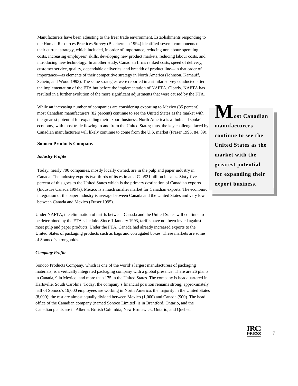Manufacturers have been adjusting to the freer trade environment. Establishments responding to the Human Resources Practices Survey (Betcherman 1994) identified-several components of their current strategy, which included, in order of importance, reducing nonlabour operating costs, increasing employees' skills, developing new product markets, reducing labour costs, and introducing new technology. In another study, Canadian firms ranked costs, speed of delivery, customer service, quality, dependable deliveries, and breadth of product line—in that order of importance—as elements of their competitive strategy in North America (Johnson, Kamauff, Schein, and Wood 1993). The same strategies were reported in a similar survey conducted after the implementation of the FTA but before the implementation of NAFTA. Clearly, NAFTA has resulted in a further evolution of the more significant adjustments that were caused by the FTA.

While an increasing number of companies are considering exporting to Mexico (35 percent), most Canadian manufacturers (82 percent) continue to see the United States as the market with the greatest potential for expanding their export business. North America is a 'hub and spoke' economy, with most trade flowing to and from the United States; thus, the key challenge faced by Canadian manufacturers will likely continue to come from the U.S. market (Fraser 1995, 84, 89).

#### **Sonoco Products Company**

#### *Industry Profile*

Today, nearly 700 companies, mostly locally owned, are in the pulp and paper industry in Canada. The industry exports two-thirds of its estimated Can\$21 billion in sales. Sixty-five percent of this goes to the United States which is the primary destination of Canadian exports (Industrie Canada 1994a). Mexico is a much smaller market for Canadian exports. The economic integration of the paper industry is average between Canada and the United States and very low between Canada and Mexico (Fraser 1995).

Under NAFTA, the elimination of tariffs between Canada and the United States will continue to be determined by the FTA schedule. Since 1 January 1993, tariffs have not been levied against most pulp and paper products. Under the FTA, Canada had already increased exports to the United States of packaging products such as bags and corrugated boxes. These markets are some of Sonoco's strongholds.

#### *Company Profile*

Sonoco Products Company, which is one of the world's largest manufacturers of packaging materials, is a vertically integrated packaging company with a global presence. There are 26 plants in Canada, 9 in Mexico, and more than 175 in the United States. The company is headquartered in Hartsville, South Carolina. Today, the company's financial position remains strong; approximately half of Sonoco's 19,000 employees are working in North America, the majority in the United States (8,000); the rest are almost equally divided between Mexico (1,000) and Canada (900). The head office of the Canadian company (named Sonoco Limited) is in Brantford, Ontario, and the Canadian plants are in Alberta, British Columbia, New Brunswick, Ontario, and Quebec.

 $M_{\text{ost Canadian}}$ **manufacturers continue to see the United States as the market with the greatest potential for expanding their export business.**

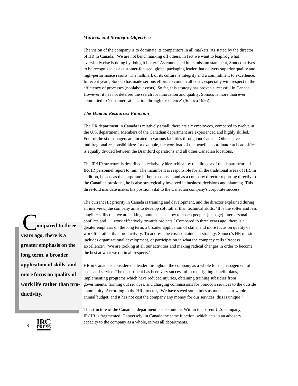# *Markets and Strategic Objectives*

The vision of the company is to dominate its competitors in all markets. As stated by the director of HR in Canada, 'We are not benchmarking off others; in fact we want to leapfrog what everybody else is doing by doing it better.' As enunciated in its mission statement, Sonoco strives to be recognized as a customer-focused, global packaging leader that delivers superior quality and high-performance results. The hallmark of its culture is integrity and a commitment to excellence. In recent years, Sonoco has made serious efforts to contain all costs, especially with respect to the efficiency of processes (nonlabour costs). So far, this strategy has proven successful in Canada. However, it has not deterred the search for innovation and quality: Sonoco is more than ever committed to 'customer satisfaction through excellence' (Sonoco 1995).

#### *The Human Resources Function*

The HR department in Canada is relatively small; there are six employees, compared to twelve in the U.S. department. Members of the Canadian department are experienced and highly skilled. Four of the six managers are located in various facilities throughout Canada. Others have multiregional responsibilities: for example, the workload of the benefits coordinator at head office is equally divided between the Brantford operations and all other Canadian locations.

The IR/HR structure is described as relatively hierarchical by the director of the department: all IR/HR personnel report to him. The incumbent is responsible for all the traditional areas of HR. In addition, he acts as the corporate in-house counsel, and as a company director reporting directly to the Canadian president, he is also strategically involved in business decisions and planning. This three-fold mandate makes his position vital to the Canadian company's corporate success.

The current HR priority in Canada is training and development, and the director explained during an interview, the company aims to develop soft rather than technical skills: 'It is the softer and less tangible skills that we are talking about, such as how to coach people, [manage] interpersonal conflicts and . . . work effectively towards projects.' Compared to three years ago, there is a greater emphasis on the long term, a broader application of skills, and more focus on quality of work life rather than productivity. To address the cost-containment strategy, Sonoco's HR mission includes organizational development, or participation in what the company calls 'Process Excellence': 'We are looking at all our activities and making radical changes in order to become the best at what we do in all respects.'

HR in Canada is considered a leader throughout the company as a whole for its management of costs and service. The department has been very successful in redesigning benefit plans, implementing programs which have reduced injuries, obtaining training subsidies from governments, farming out services, and charging commissions for Sonoco's services to the outside community. According to the HR director, 'We have saved sometimes as much as our whole annual budget, and it has not cost the company any money for our services; this is unique!'

 **ompared to three C**ompared to the years ago, there is a **greater emphasis on the long term, a broader application of skills, and more focus on quality of work life rather than productivity.**

> The structure of the Canadian department is also unique. Within the parent U.S. company, IR/HR is fragmented. Conversely, in Canada the same function, which acts in an advisory capacity to the company as a whole, serves all departments.

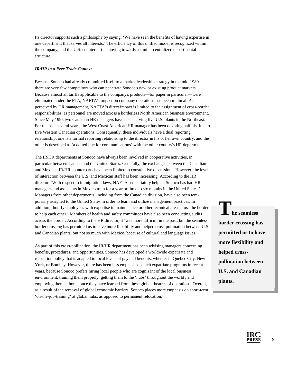Its director supports such a philosophy by saying: 'We have seen the benefits of having expertise in one department that serves all interests.' The efficiency of this unified model is recognized within the company, and the U.S. counterpart is moving towards a similar centralized departmental structure.

## *IR/HR in a Free Trade Context*

Because Sonoco had already committed itself to a market leadership strategy in the mid-1980s, there are very few competitors who can penetrate Sonoco's new or existing product markets. Because almost all tariffs applicable to the company's products—for paper in particular—were eliminated under the FTA, NAFTA's impact on company operations has been minimal. As perceived by HR management, NAFTA's direct impact is limited to the assignment of cross-border responsibilities, as personnel are moved across a borderless North American business environment. Since May 1995 two Canadian HR managers have been serving five U.S. plants in the Northeast. For the past several years, the West Coast American HR manager has been devoting half his time to five Western Canadian operations. Consequently, these individuals have a dual reporting relationship; one is a formal reporting relationship to the director in his or her own country, and the other is described as 'a dotted line for communications' with the other country's HR department.

The IR/HR departments at Sonoco have always been involved in cooperative activities, in particular between Canada and the United States. Generally, the exchanges between the Canadian and Mexican IR/HR counterparts have been limited to consultative discussions. However, the level of interaction between the U.S. and Mexican staff has been increasing. According to the HR director, 'With respect to immigration laws, NAFTA has certainly helped. Sonoco has had HR managers and assistants in Mexico train for a year or three to six months in the United States.' Managers from other departments, including from the Canadian division, have also been temporarily assigned to the United States in order to learn and utilize management practices. In addition, 'hourly employees with expertise in maintenance or other technical areas cross the border to help each other.' Members of health and safety committees have also been conducting audits across the border. According to the HR director, it 'was more difficult in the past, but the seamless border crossing has permitted us to have more flexibility and helped cross-pollination between U.S. and Canadian plants; but not so much with Mexico, because of cultural and language issues.'

As part of this cross-pollination, the IR/HR department has been advising managers concerning benefits, procedures, and opportunities. Sonoco has developed a worldwide expatriate and relocation policy that is adapted to local levels of pay and benefits, whether in Quebec City, New York, or Bombay. However, there has been less emphasis on such expatriate programs in recent years, because Sonoco prefers hiring local people who are cognizant of the local business environment, training them properly, getting them to the 'hubs' throughout the world , and employing them at home once they have learned from these global theatres of operations. Overall, as a result of the removal of global economic barriers, Sonoco places more emphasis on short-term 'on-the-job-training' at global hubs, as opposed to permanent relocation.

**The seamless border crossing has permitted us to have more flexibility and helped crosspollination between U.S. and Canadian plants.**

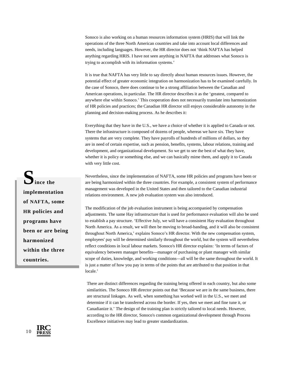Sonoco is also working on a human resources information system (HRIS) that will link the operations of the three North American countries and take into account local differences and needs, including languages. However, the HR director does not 'think NAFTA has helped anything regarding HRIS. I have not seen anything in NAFTA that addresses what Sonoco is trying to accomplish with its information systems.'

It is true that NAFTA has very little to say directly about human resources issues. However, the potential effect of greater economic integration on harmonization has to be examined carefully. In the case of Sonoco, there does continue to be a strong affiliation between the Canadian and American operations, in particular. The HR director describes it as the 'greatest, compared to anywhere else within Sonoco.' This cooperation does not necessarily translate into harmonization of HR policies and practices; the Canadian HR director still enjoys considerable autonomy in the planning and decision-making process. As he describes it:

Everything that they have in the U.S., we have a choice of whether it is applied to Canada or not. There the infrastructure is composed of dozens of people, whereas we have six. They have systems that are very complete. They have payrolls of hundreds of millions of dollars, so they are in need of certain expertise, such as pension, benefits, systems, labour relations, training and development, and organizational development. So we get to see the best of what they have, whether it is policy or something else, and we can basically mime them, and apply it to Canada with very little cost.

Nevertheless, since the implementation of NAFTA, some HR policies and programs have been or are being harmonized within the three countries. For example, a consistent system of performance management was developed in the United States and then tailored to the Canadian industrial relations environment. A new job evaluation system was also introduced.

The modification of the job evaluation instrument is being accompanied by compensation adjustments. The same Hay infrastructure that is used for performance evaluation will also be used to establish a pay structure. 'Effective July, we will have a consistent Hay evaluation throughout North America. As a result, we will then be moving to broad-banding, and it will also be consistent throughout North America,' explains Sonoco's HR director. With the new compensation system, employees' pay will be determined similarly throughout the world, but the system will nevertheless reflect conditions in local labour markets. Sonoco's HR director explains: 'In terms of factors of equivalency between manager benefits—manager of purchasing or plant manager with similar scope of duties, knowledge, and working conditions—all will be the same throughout the world. It is just a matter of how you pay in terms of the points that are attributed to that position in that locale.'

There are distinct differences regarding the training being offered in each country, but also some similarities. The Sonoco HR director points out that 'Because we are in the same business, there are structural linkages. As well, when something has worked well in the U.S., we meet and determine if it can be transferred across the border. If yes, then we meet and fine tune it, or Canadianize it.' The design of the training plan is strictly tailored to local needs. However, according to the HR director, Sonoco's common organizational development through Process Excellence initiatives may lead to greater standardization.

Ince the **implementation of NAFTA, some HR policies and programs have been or are being harmonized within the three countries.**

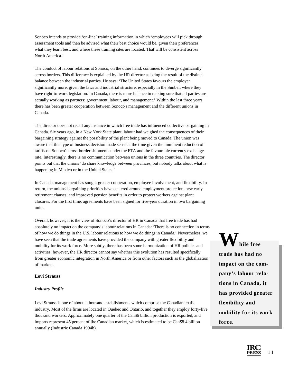Sonoco intends to provide 'on-line' training information in which 'employees will pick through assessment tools and then be advised what their best choice would be, given their preferences, what they learn best, and where these training sites are located. That will be consistent across North America.'

The conduct of labour relations at Sonoco, on the other hand, continues to diverge significantly across borders. This difference is explained by the HR director as being the result of the distinct balance between the industrial parties. He says: 'The United States favours the employer significantly more, given the laws and industrial structure, especially in the Sunbelt where they have right-to-work legislation. In Canada, there is more balance in making sure that all parties are actually working as partners: government, labour, and management.' Within the last three years, there has been greater cooperation between Sonoco's management and the different unions in Canada.

The director does not recall any instance in which free trade has influenced collective bargaining in Canada. Six years ago, in a New York State plant, labour had weighed the consequences of their bargaining strategy against the possibility of the plant being moved to Canada. The union was aware that this type of business decision made sense at the time given the imminent reduction of tariffs on Sonoco's cross-border shipments under the FTA and the favourable currency exchange rate. Interestingly, there is no communication between unions in the three countries. The director points out that the unions 'do share knowledge between provinces, but nobody talks about what is happening in Mexico or in the United States.'

In Canada, management has sought greater cooperation, employee involvement, and flexibility. In return, the unions' bargaining priorities have centered around employment protection, new early retirement clauses, and improved pension benefits in order to protect workers against plant closures. For the first time, agreements have been signed for five-year duration in two bargaining units.

Overall, however, it is the view of Sonoco's director of HR in Canada that free trade has had absolutely no impact on the company's labour relations in Canada: 'There is no connection in terms of how we do things in the U.S. labour relations to how we do things in Canada.' Nevertheless, we have seen that the trade agreements have provided the company with greater flexibility and mobility for its work force. More subtly, there has been some harmonization of HR policies and activities; however, the HR director cannot say whether this evolution has resulted specifically from greater economic integration in North America or from other factors such as the globalization of markets.

# **Levi Strauss**

# *Industry Profile*

Levi Strauss is one of about a thousand establishments which comprise the Canadian textile industry. Most of the firms are located in Quebec and Ontario, and together they employ forty-five thousand workers. Approximately one quarter of the Can\$6 billion production is exported, and imports represent 45 percent of the Canadian market, which is estimated to be Can\$8.4 billion annually (Industrie Canada 1994b).

**hile** free **trade has had no impact on the company's labour relations in Canada, it has provided greater flexibility and mobility for its work force.**

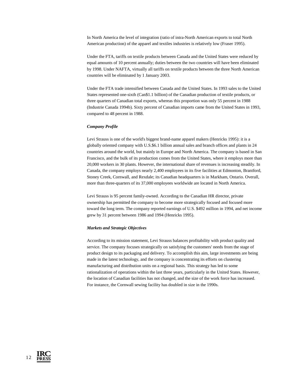In North America the level of integration (ratio of intra-North American exports to total North American production) of the apparel and textiles industries is relatively low (Fraser 1995).

Under the FTA, tariffs on textile products between Canada and the United States were reduced by equal amounts of 10 percent annually; duties between the two countries will have been eliminated by 1998. Under NAFTA, virtually all tariffs on textile products between the three North American countries will be eliminated by 1 January 2003.

Under the FTA trade intensified between Canada and the United States. In 1993 sales to the United States represented one-sixth (Can\$1.1 billion) of the Canadian production of textile products, or three quarters of Canadian total exports, whereas this proportion was only 55 percent in 1988 (Industrie Canada 1994b). Sixty percent of Canadian imports came from the United States in 1993, compared to 48 percent in 1988.

#### *Company Profile*

Levi Strauss is one of the world's biggest brand-name apparel makers (Henricks 1995): it is a globally oriented company with U.S.\$6.1 billion annual sales and branch offices and plants in 24 countries around the world, but mainly in Europe and North America. The company is based in San Francisco, and the bulk of its production comes from the United States, where it employs more than 20,000 workers in 30 plants. However, the international share of revenues is increasing steadily. In Canada, the company employs nearly 2,400 employees in its five facilities at Edmonton, Brantford, Stoney Creek, Cornwall, and Rexdale; its Canadian headquarters is in Markham, Ontario. Overall, more than three-quarters of its 37,000 employees worldwide are located in North America.

Levi Strauss is 95 percent family-owned. According to the Canadian HR director, private ownership has permitted the company to become more strategically focused and focused more toward the long term. The company reported earnings of U.S. \$492 million in 1994, and net income grew by 31 percent between 1986 and 1994 (Henricks 1995).

#### *Markets and Strategic Objectives*

According to its mission statement, Levi Strauss balances profitability with product quality and service. The company focuses strategically on satisfying the customers' needs from the stage of product design to its packaging and delivery. To accomplish this aim, large investments are being made in the latest technology, and the company is concentrating its efforts on clustering manufacturing and distribution units on a regional basis. This strategy has led to some rationalization of operations within the last three years, particularly in the United States. However, the location of Canadian facilities has not changed, and the size of the work force has increased. For instance, the Cornwall sewing facility has doubled in size in the 1990s.

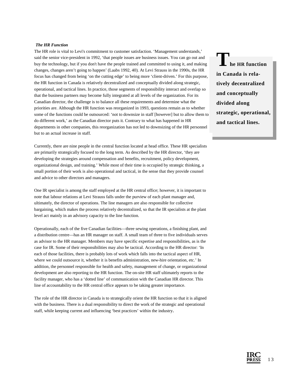## *The HR Function*

The HR role is vital to Levi's commitment to customer satisfaction. 'Management understands,' said the senior vice-president in 1992, 'that people issues are business issues. You can go out and buy the technology, but if you don't have the people trained and committed to using it, and making changes, changes aren't going to happen' (Laabs 1992, 40). At Levi Strauss in the 1990s, the HR focus has changed from being 'on the cutting edge' to being more 'client-driven.' For this purpose, the HR function in Canada is relatively decentralized and conceptually divided along strategic, operational, and tactical lines. In practice, those segments of responsibility interact and overlap so that the business partners may become fully integrated at all levels of the organization. For its Canadian director, the challenge is to balance all these requirements and determine what the priorities are. Although the HR function was reorganized in 1993, questions remain as to whether some of the functions could be outsourced: 'not to downsize in staff [however] but to allow them to do different work,' as the Canadian director puts it. Contrary to what has happened in HR departments in other companies, this reorganization has not led to downsizing of the HR personnel but to an actual increase in staff.

Currently, there are nine people in the central function located at head office. These HR specialists are primarily strategically focused to the long term. As described by the HR director, 'they are developing the strategies around compensation and benefits, recruitment, policy development, organizational design, and training.' While most of their time is occupied by strategic thinking, a small portion of their work is also operational and tactical, in the sense that they provide counsel and advice to other directors and managers.

One IR specialist is among the staff employed at the HR central office; however, it is important to note that labour relations at Levi Strauss falls under the purview of each plant manager and, ultimately, the director of operations. The line managers are also responsible for collective bargaining, which makes the process relatively decentralized, so that the IR specialists at the plant level act mainly in an advisory capacity to the line function.

Operationally, each of the five Canadian facilities—three sewing operations, a finishing plant, and a distribution centre—has an HR manager on staff. A small team of three to five individuals serves as advisor to the HR manager. Members may have specific expertise and responsibilities, as is the case for IR. Some of their responsibilities may also be tactical. According to the HR director: 'In each of those facilities, there is probably lots of work which falls into the tactical aspect of HR, where we could outsource it, whether it is benefits administration, new-hire orientation, etc.' In addition, the personnel responsible for health and safety, management of change, or organizational development are also reporting to the HR function. The on-site HR staff ultimately reports to the facility manager, who has a 'dotted line' of communication with the Canadian HR director. This line of accountability to the HR central office appears to be taking greater importance.

The role of the HR director in Canada is to strategically orient the HR function so that it is aligned with the business. There is a dual responsibility to direct the work of the strategic and operational staff, while keeping current and influencing 'best practices' within the industry.

**The HR function in Canada is relatively decentralized and conceptually divided along strategic, operational, and tactical lines.**

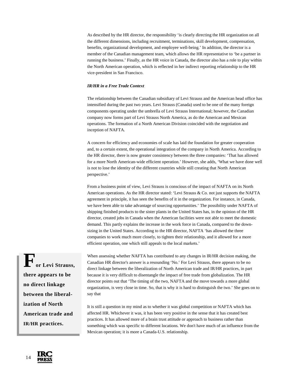As described by the HR director, the responsibility 'is clearly directing the HR organization on all the different dimensions, including recruitment, terminations, skill development, compensation, benefits, organizational development, and employee well-being.' In addition, the director is a member of the Canadian management team, which allows the HR representative to 'be a partner in running the business.' Finally, as the HR voice in Canada, the director also has a role to play within the North American operation, which is reflected in her indirect reporting relationship to the HR vice-president in San Francisco.

#### *IR/HR in a Free Trade Context*

The relationship between the Canadian subsidiary of Levi Strauss and the American head office has intensified during the past two years. Levi Strauss (Canada) used to be one of the many foreign components operating under the umbrella of Levi Strauss International; however, the Canadian company now forms part of Levi Strauss North America, as do the American and Mexican operations. The formation of a North American Division coincided with the negotiation and inception of NAFTA.

A concern for efficiency and economies of scale has laid the foundation for greater cooperation and, to a certain extent, the operational integration of the company in North America. According to the HR director, there is now greater consistency between the three companies: 'That has allowed for a more North American-wide efficient operation.' However, she adds, 'What we have done well is not to lose the identity of the different countries while still creating that North American perspective.'

From a business point of view, Levi Strauss is conscious of the impact of NAFTA on its North American operations. As the HR director stated: 'Levi Strauss & Co. not just supports the NAFTA agreement in principle, it has seen the benefits of it in the organization. For instance, in Canada, we have been able to take advantage of sourcing opportunities.' The possibility under NAFTA of shipping finished products to the sister plants in the United States has, in the opinion of the HR director, created jobs in Canada when the American facilities were not able to meet the domestic demand. This partly explains the increase in the work force in Canada, compared to the downsizing in the United States. According to the HR director, NAFTA 'has allowed the three companies to work much more closely, to tighten their relationship, and it allowed for a more efficient operation, one which still appeals to the local markets.'

or Levi Strauss, **there appears to be no direct linkage between the liberalization of North American trade and IR/HR practices.**

When assessing whether NAFTA has contributed to any changes in IR/HR decision making, the Canadian HR director's answer is a resounding 'No.' For Levi Strauss, there appears to be no direct linkage between the liberalization of North American trade and IR/HR practices, in part because it is very difficult to disentangle the impact of free trade from globalization. The HR director points out that 'The timing of the two, NAFTA and the move towards a more global organization, is very close in time. So, that is why it is hard to distinguish the two.' She goes on to say that

It is still a question in my mind as to whether it was global competition or NAFTA which has affected HR. Whichever it was, it has been very positive in the sense that it has created best practices. It has allowed more of a brain trust attitude or approach to business rather than something which was specific to different locations. We don't have much of an influence from the Mexican operation; it is more a Canada-U.S. relationship.

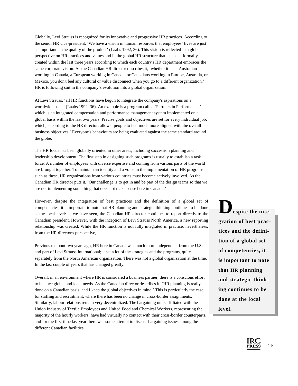Globally, Levi Strauss is recognized for its innovative and progressive HR practices. According to the senior HR vice-president, 'We have a vision in human resources that employees' lives are just as important as the quality of the product' (Laabs 1992, 36). This vision is reflected in a global perspective on HR practices and values and in the global HR structure that has been formally created within the last three years according to which each country's HR department embraces the same corporate vision. As the Canadian HR director describes it, 'whether it is an Australian working in Canada, a European working in Canada, or Canadians working in Europe, Australia, or Mexico, you don't feel any cultural or value disconnect when you go to a different organization.' HR is following suit in the company's evolution into a global organization.

At Levi Strauss, 'all HR functions have begun to integrate the company's aspirations on a worldwide basis' (Laabs 1992, 36). An example is a program called 'Partners in Performance,' which is an integrated compensation and performance management system implemented on a global basis within the last two years. Precise goals and objectives are set for every individual job, which, according to the HR director, allows 'people to feel much more aligned with the overall business objectives.' Everyone's behaviours are being evaluated against the same standard around the globe.

The HR focus has been globally oriented in other areas, including succession planning and leadership development. The first step in designing such programs is usually to establish a task force. A number of employees with diverse expertise and coming from various parts of the world are brought together. To maintain an identity and a voice in the implementation of HR programs such as these, HR organizations from various countries must become actively involved. As the Canadian HR director puts it, 'Our challenge is to get in and be part of the design teams so that we are not implementing something that does not make sense here in Canada.'

However, despite the integration of best practices and the definition of a global set of competencies, it is important to note that HR planning and strategic thinking continues to be done at the local level: as we have seen, the Canadian HR director continues to report directly to the Canadian president. However, with the inception of Levi Strauss North America, a new reporting relationship was created. While the HR function is not fully integrated in practice, nevertheless, from the HR director's perspective,

Previous to about two years ago, HR here in Canada was much more independent from the U.S. and part of Levi Strauss International; it set a lot of the strategies and the programs, quite separately from the North American organization. There was not a global organization at the time. In the last couple of years that has changed greatly.

Overall, in an environment where HR is considered a business partner, there is a conscious effort to balance global and local needs. As the Canadian director describes it, 'HR planning is really done on a Canadian basis, and I keep the global objectives in mind.' This is particularly the case for staffing and recruitment, where there has been no change in cross-border assignments. Similarly, labour relations remain very decentralized. The bargaining units affiliated with the Union Industry of Textile Employees and United Food and Chemical Workers, representing the majority of the hourly workers, have had virtually no contact with their cross-border counterparts, and for the first time last year there was some attempt to discuss bargaining issues among the different Canadian facilities

**espite the integration of best practices and the definition of a global set of competencies, it is important to note that HR planning and strategic thinking continues to be done at the local level.**

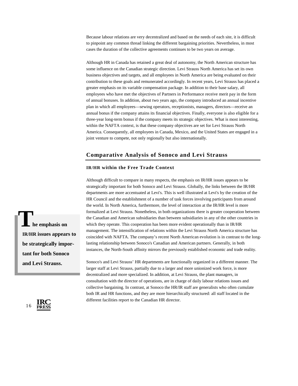Because labour relations are very decentralized and based on the needs of each site, it is difficult to pinpoint any common thread linking the different bargaining priorities. Nevertheless, in most cases the duration of the collective agreements continues to be two years on average.

Although HR in Canada has retained a great deal of autonomy, the North American structure has some influence on the Canadian strategic direction. Levi Strauss North America has set its own business objectives and targets, and all employees in North America are being evaluated on their contribution to these goals and remunerated accordingly. In recent years, Levi Strauss has placed a greater emphasis on its variable compensation package. In addition to their base salary, all employees who have met the objectives of Partners in Performance receive merit pay in the form of annual bonuses. In addition, about two years ago, the company introduced an annual incentive plan in which all employees—sewing operators, receptionists, managers, directors—receive an annual bonus if the company attains its financial objectives. Finally, everyone is also eligible for a three-year long-term bonus if the company meets its strategic objectives. What is most interesting, within the NAFTA context, is that these company objectives are set for Levi Strauss North America. Consequently, all employees in Canada, Mexico, and the United States are engaged in a joint venture to compete, not only regionally but also internationally.

# **Comparative Analysis of Sonoco and Levi Strauss**

# **IR/HR within the Free Trade Context**

Although difficult to compare in many respects, the emphasis on IR/HR issues appears to be strategically important for both Sonoco and Levi Strauss. Globally, the links between the IR/HR departments are more accentuated at Levi's. This is well illustrated at Levi's by the creation of the HR Council and the establishment of a number of task forces involving participants from around the world. In North America, furthermore, the level of interaction at the IR/HR level is more formalized at Levi Strauss. Nonetheless, in both organizations there is greater cooperation between the Canadian and American subsidiaries than between subsidiaries in any of the other countries in which they operate. This cooperation has been more evident operationally than in IR/HR management. The intensification of relations within the Levi Strauss North America structure has coincided with NAFTA. The company's recent North American evolution is in contrast to the longlasting relationship between Sonoco's Canadian and American partners. Generally, in both instances, the North-South affinity mirrors the previously established economic and trade reality.

Sonoco's and Levi Strauss' HR departments are functionally organized in a different manner. The larger staff at Levi Strauss, partially due to a larger and more unionized work force, is more decentralized and more specialized. In addition, at Levi Strauss, the plant managers, in consultation with the director of operations, are in charge of daily labour relations issues and collective bargaining. In contrast, at Sonoco the HR/IR staff are generalists who often cumulate both IR and HR functions, and they are more hierarchically structured: all staff located in the different facilities report to the Canadian HR director.

 **he emphasis on IR/HR issues appears to be strategically important for both Sonoco and Levi Strauss. T**

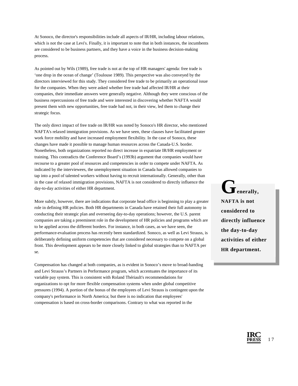At Sonoco, the director's responsibilities include all aspects of IR/HR, including labour relations, which is not the case at Levi's. Finally, it is important to note that in both instances, the incumbents are considered to be business partners, and they have a voice in the business decision-making process.

As pointed out by Wils (1989), free trade is not at the top of HR managers' agenda: free trade is 'one drop in the ocean of change' (Toulouse 1989). This perspective was also conveyed by the directors interviewed for this study. They considered free trade to be primarily an operational issue for the companies. When they were asked whether free trade had affected IR/HR at their companies, their immediate answers were generally negative. Although they were conscious of the business repercussions of free trade and were interested in discovering whether NAFTA would present them with new opportunities, free trade had not, in their view, led them to change their strategic focus.

The only direct impact of free trade on IR/HR was noted by Sonoco's HR director, who mentioned NAFTA's relaxed immigration provisions. As we have seen, these clauses have facilitated greater work force mobility and have increased employment flexibility. In the case of Sonoco, these changes have made it possible to manage human resources across the Canada-U.S. border. Nonetheless, both organizations reported no direct increase in expatriate IR/HR employment or training. This contradicts the Conference Board's (1993b) argument that companies would have recourse to a greater pool of resources and competencies in order to compete under NAFTA. As indicated by the interviewees, the unemployment situation in Canada has allowed companies to tap into a pool of talented workers without having to recruit internationally. Generally, other than in the case of relaxed immigration provisions, NAFTA is not considered to directly influence the day-to-day activities of either HR department.

More subtly, however, there are indications that corporate head office is beginning to play a greater role in defining HR policies. Both HR departments in Canada have retained their full autonomy in conducting their strategic plan and overseeing day-to-day operations; however, the U.S. parent companies are taking a preeminent role in the development of HR policies and programs which are to be applied across the different borders. For instance, in both cases, as we have seen, the performance-evaluation process has recently been standardized. Sonoco, as well as Levi Strauss, is deliberately defining uniform competencies that are considered necessary to compete on a global front. This development appears to be more closely linked to global strategies than to NAFTA per se.

Compensation has changed at both companies, as is evident in Sonoco's move to broad-banding and Levi Strauss's Partners in Performance program, which accentuates the importance of its variable pay system. This is consistent with Roland Thériault's recommendations for organizations to opt for more flexible compensation systems when under global competitive pressures (1994). A portion of the bonus of the employees of Levi Strauss is contingent upon the company's performance in North America; but there is no indication that employees' compensation is based on cross-border comparisons. Contrary to what was reported in the

 $\Gamma$ <sub>enerally</sub>, **NAFTA is not considered to directly influence the day-to-day activities of either HR department.**

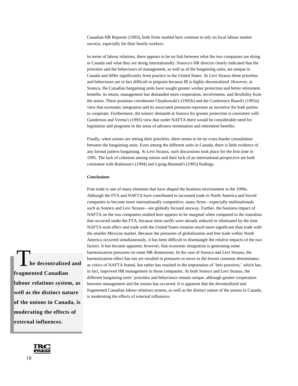Canadian HR Reporter (1993), both firms studied here continue to rely on local labour market surveys, especially for their hourly workers.

In terms of labour relations, there appears to be no link between what the two companies are doing in Canada and what they are doing internationally. Sonoco's HR director clearly indicated that the priorities and the behaviours of management, as well as of the bargaining units, are unique to Canada and differ significantly from practice in the United States. At Levi Strauss these priorities and behaviours are in fact difficult to pinpoint because IR is highly decentralized. However, at Sonoco, the Canadian bargaining units have sought greater worker protection and better retirement benefits. In return, management has demanded more cooperation, involvement, and flexibility from the union. These positions corroborate Chaykowski's (1995b) and the Conference Board's (1993a) view that economic integration and its associated pressures represent an incentive for both parties to cooperate. Furthermore, the unions' demands at Sonoco for greater protection is consistent with Gunderson and Verma's (1993) view that under NAFTA there would be considerable need for legislation and programs in the areas of advance termination and retirement benefits.

Finally, when unions are setting their priorities, there seems to be no cross-border consultation between the bargaining units. Even among the different units in Canada, there is little evidence of any formal pattern bargaining. At Levi Strauss, such discussions took place for the first time in 1995. The lack of cohesion among unions and their lack of an international perspective are both consistent with Robinson's (1994) and Lipsig-Mummé's (1995) findings.

#### *Conclusions*

Free trade is one of many elements that have shaped the business environment in the 1990s. Although the FTA and NAFTA have contributed to increased trade in North America and forced companies to become more internationally competitive, many firms—especially multinationals such as Sonoco and Levi Strauss—are globally focused anyway. Further, the business impact of NAFTA on the two companies studied here appears to be marginal when compared to the transition that occurred under the FTA, because most tariffs were already reduced or eliminated by the time NAFTA took effect and trade with the United States remains much more significant than trade with the smaller Mexican market. Because the pressures of globalization and free trade within North America occurred simultaneously, it has been difficult to disentangle the relative impacts of the two factors. It has become apparent; however, that economic integration is generating some harmonization pressures on some HR dimensions. In the case of Sonoco and Levi Strauss, the harmonization effect has not yet resulted in pressures to move to the lowest common denominator, as critics of NAFTA feared, but rather has resulted in the importation of 'best practices,' which has, in fact, improved HR management in those companies. At both Sonoco and Levi Strauss, the different bargaining units' priorities and behaviours remain unique, although greater cooperation between management and the unions has occurred. It is apparent that the decentralized and fragmented Canadian labour relations system, as well as the distinct nature of the unions in Canada, is moderating the effects of external influences.

**he decentralized and fragmented Canadian labour relations system, as well as the distinct nature of the unions in Canada, is moderating the effects of external influences.**

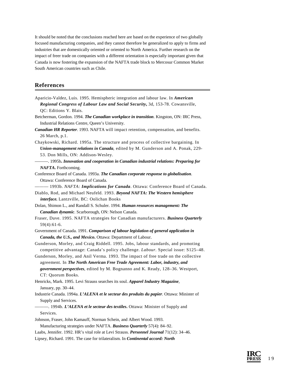It should be noted that the conclusions reached here are based on the experience of two globally focused manufacturing companies, and they cannot therefore be generalized to apply to firms and industries that are domestically oriented or oriented to North America. Further research on the impact of freer trade on companies with a different orientation is especially important given that Canada is now fostering the expansion of the NAFTA trade block to Mercosur Common Market South American countries such as Chile.

# **References**

- Aparicio-Valdez, Luis. 1995. Hemispheric integration and labour law. In *American Regional Congress of Labour Law and Social Security***,** 3d, 153-78. Cowansville, QC: Editions Y. Blais.
- Betcherman, Gordon. 1994. *The Canadian workplace in transition*. Kingston, ON: IRC Press, Industrial Relations Centre, Queen's University.
- *Canadian HR Reporter*. 1993. NAFTA will impact retention, compensation, and benefits. 26 March, p.1.
- Chaykowski, Richard. 1995a. The structure and process of collective bargaining. In *Union-management relations in Canada*, edited by M. Gunderson and A. Ponak, 229- 53. Don Mills, ON: Addison-Wesley.
- ———. 1995b**.** *Innovation and cooperation in Canadian industrial relations: Preparing for NAFTA***.** Forthcoming.
- Conference Board of Canada. 1993a. *The Canadian corporate response to globalisation*. Ottawa: Conference Board of Canada.
- ——— 1993b. *NAFTA: Implications for Canada*. Ottawa: Conference Board of Canada. Diablo, Rod, and Michael Neufeld. 1993. *Beyond NAFTA: The Western hemisphere*
- *interface.* Lantzville, BC: Oolichan Books
- Dolan, Shimon L., and Randall S. Schuler. 1994. *Human resources management: The Canadian dynamic*. Scarborough, ON: Nelson Canada.
- Fraser, Dave. 1995. NAFTA strategies for Canadian manufacturers. *Business Quarterly* 59(4):61-6.
- Government of Canada. 1991. *Comparison of labour legislation of general application in Canada, the U.S., and Mexico***.** Ottawa: Department of Labour.
- Gunderson, Morley, and Craig Riddell. 1995. Jobs, labour standards, and promoting competitive advantage: Canada's policy challenge. *Labour.* Special issue: S125–48.
- Gunderson, Morley, and Anil Verma. 1993. The impact of free trade on the collective agreement. In *The North American Free Trade Agreement: Labor, industry, and government perspectives*, edited by M. Bognanno and K. Ready, 128–36. Westport, CT: Quorum Books.
- Henricks, Mark. 1995. Levi Strauss searches its soul. *Apparel Industry Magazine*, January, pp. 30–44.
- Industrie Canada. 1994a. *L'ALENA et le secteur des produits du papier*. Ottawa: Minister of Supply and Services.
- ———. 1994b. *L'ALENA et le secteur des textiles***.** Ottawa: Minister of Supply and Services.
- Johnson, Fraser, John Kamauff, Norman Schein, and Albert Wood. 1993.
- Manufacturing strategies under NAFTA. *Business Quarterly* 57(4): 84–92.
- Laabs, Jennifer. 1992. HR's vital role at Levi Strauss. *Personnel Journal* 71(12): 34–46.
- Lipsey, Richard. 1991. The case for trilateralism. In *Continental accord: North*